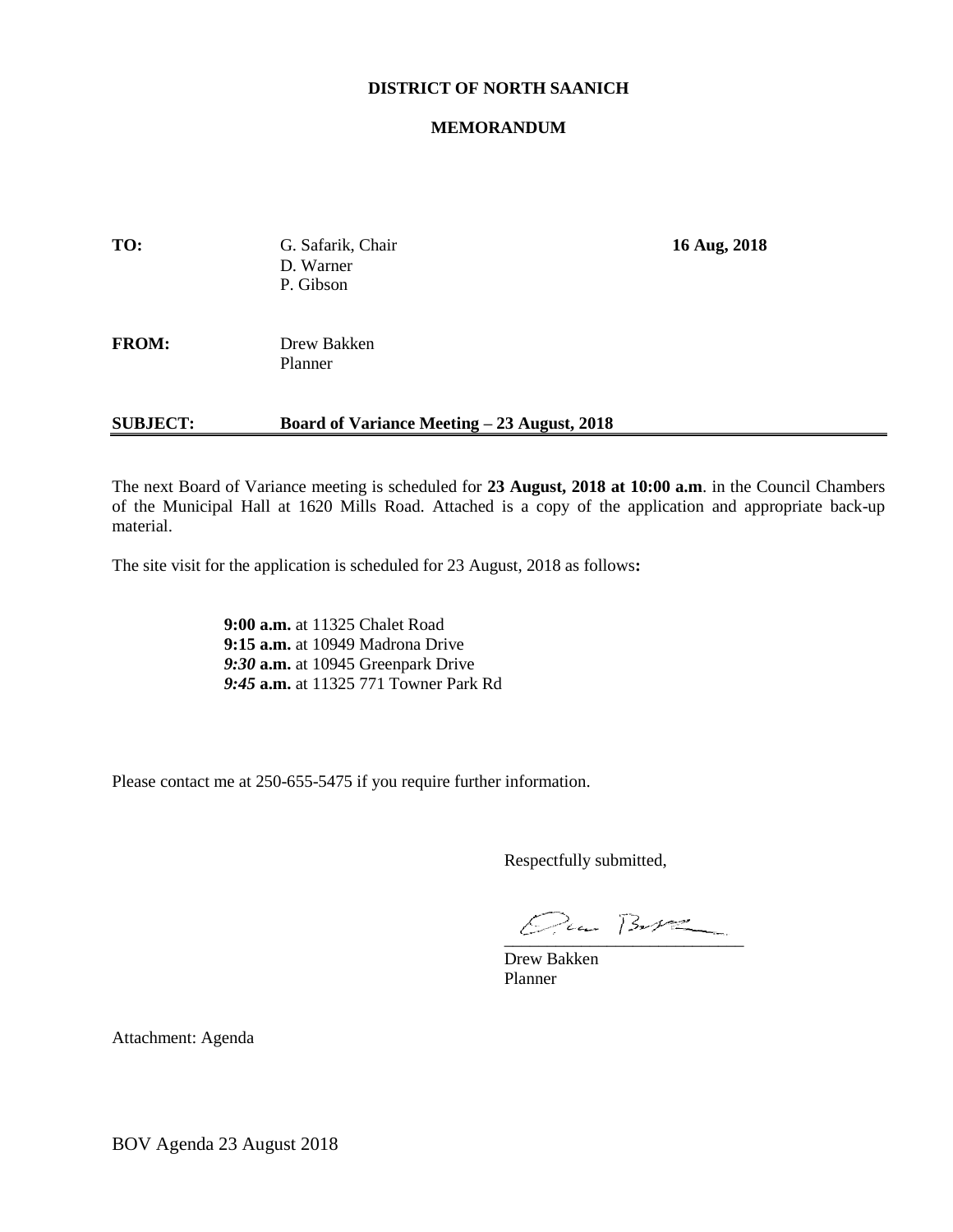# **DISTRICT OF NORTH SAANICH**

#### **MEMORANDUM**

| TO:             | G. Safarik, Chair<br>D. Warner<br>P. Gibson | 16 Aug, 2018 |
|-----------------|---------------------------------------------|--------------|
| <b>FROM:</b>    | Drew Bakken<br>Planner                      |              |
| <b>SUBJECT:</b> | Board of Variance Meeting – 23 August, 2018 |              |

The next Board of Variance meeting is scheduled for **23 August, 2018 at 10:00 a.m**. in the Council Chambers of the Municipal Hall at 1620 Mills Road. Attached is a copy of the application and appropriate back-up material.

The site visit for the application is scheduled for 23 August, 2018 as follows**:**

**9:00 a.m.** at 11325 Chalet Road **9:15 a.m.** at 10949 Madrona Drive *9:30* **a.m.** at 10945 Greenpark Drive *9:45* **a.m.** at 11325 771 Towner Park Rd

Please contact me at 250-655-5475 if you require further information.

Respectfully submitted,

 $Qua B-V2$ 

Drew Bakken Planner

Attachment: Agenda

BOV Agenda 23 August 2018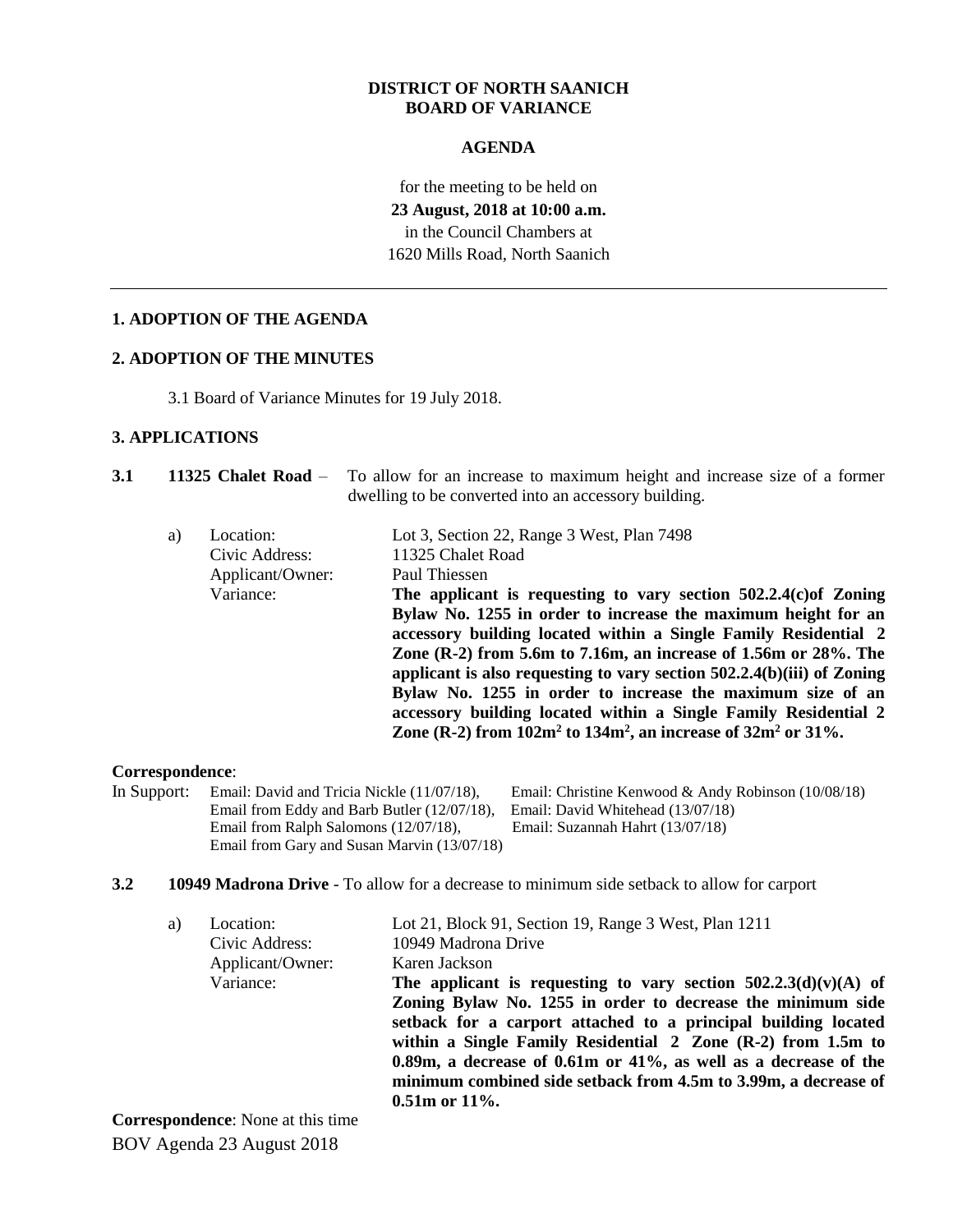## **DISTRICT OF NORTH SAANICH BOARD OF VARIANCE**

# **AGENDA**

for the meeting to be held on **23 August, 2018 at 10:00 a.m.** in the Council Chambers at 1620 Mills Road, North Saanich

# **1. ADOPTION OF THE AGENDA**

# **2. ADOPTION OF THE MINUTES**

3.1 Board of Variance Minutes for 19 July 2018.

# **3. APPLICATIONS**

| <b>3.1</b> |    |                                                              | 11325 Chalet Road – To allow for an increase to maximum height and increase size of a former<br>dwelling to be converted into an accessory building.                                                                                                                                                                                                                                                                                                                                                                                                                                                                                                           |
|------------|----|--------------------------------------------------------------|----------------------------------------------------------------------------------------------------------------------------------------------------------------------------------------------------------------------------------------------------------------------------------------------------------------------------------------------------------------------------------------------------------------------------------------------------------------------------------------------------------------------------------------------------------------------------------------------------------------------------------------------------------------|
|            | a) | Location:<br>Civic Address:<br>Applicant/Owner:<br>Variance: | Lot 3, Section 22, Range 3 West, Plan 7498<br>11325 Chalet Road<br>Paul Thiessen<br>The applicant is requesting to vary section $502.2.4(c)$ <i>of Zoning</i><br>Bylaw No. 1255 in order to increase the maximum height for an<br>accessory building located within a Single Family Residential 2<br>Zone (R-2) from 5.6m to 7.16m, an increase of 1.56m or 28%. The<br>applicant is also requesting to vary section $502.2.4(b)(iii)$ of Zoning<br>Bylaw No. 1255 in order to increase the maximum size of an<br>accessory building located within a Single Family Residential 2<br>Zone (R-2) from $102m^2$ to $134m^2$ , an increase of $32m^2$ or $31\%$ . |

## **Correspondence**:

- In Support: Email: David and Tricia Nickle (11/07/18), Email: Christine Kenwood & Andy Robinson (10/08/18) Email from Eddy and Barb Butler (12/07/18), Email: David Whitehead (13/07/18) Email from Ralph Salomons (12/07/18), Email: Suzannah Hahrt (13/07/18) Email from Gary and Susan Marvin (13/07/18)
- **3.2 10949 Madrona Drive** To allow for a decrease to minimum side setback to allow for carport

| a) | Location:                                | Lot 21, Block 91, Section 19, Range 3 West, Plan 1211                                                                                                                                                                                                                                                                                                                                                                                 |
|----|------------------------------------------|---------------------------------------------------------------------------------------------------------------------------------------------------------------------------------------------------------------------------------------------------------------------------------------------------------------------------------------------------------------------------------------------------------------------------------------|
|    | Civic Address:                           | 10949 Madrona Drive                                                                                                                                                                                                                                                                                                                                                                                                                   |
|    | Applicant/Owner:                         | Karen Jackson                                                                                                                                                                                                                                                                                                                                                                                                                         |
|    | Variance:                                | The applicant is requesting to vary section $502.2.3(d)(v)(A)$ of<br>Zoning Bylaw No. 1255 in order to decrease the minimum side<br>setback for a carport attached to a principal building located<br>within a Single Family Residential 2 Zone (R-2) from 1.5m to<br>0.89m, a decrease of $0.61m$ or $41\%$ , as well as a decrease of the<br>minimum combined side setback from 4.5m to 3.99m, a decrease of<br>$0.51m$ or $11\%$ . |
|    | <b>Correspondence:</b> None at this time |                                                                                                                                                                                                                                                                                                                                                                                                                                       |

BOV Agenda 23 August 2018